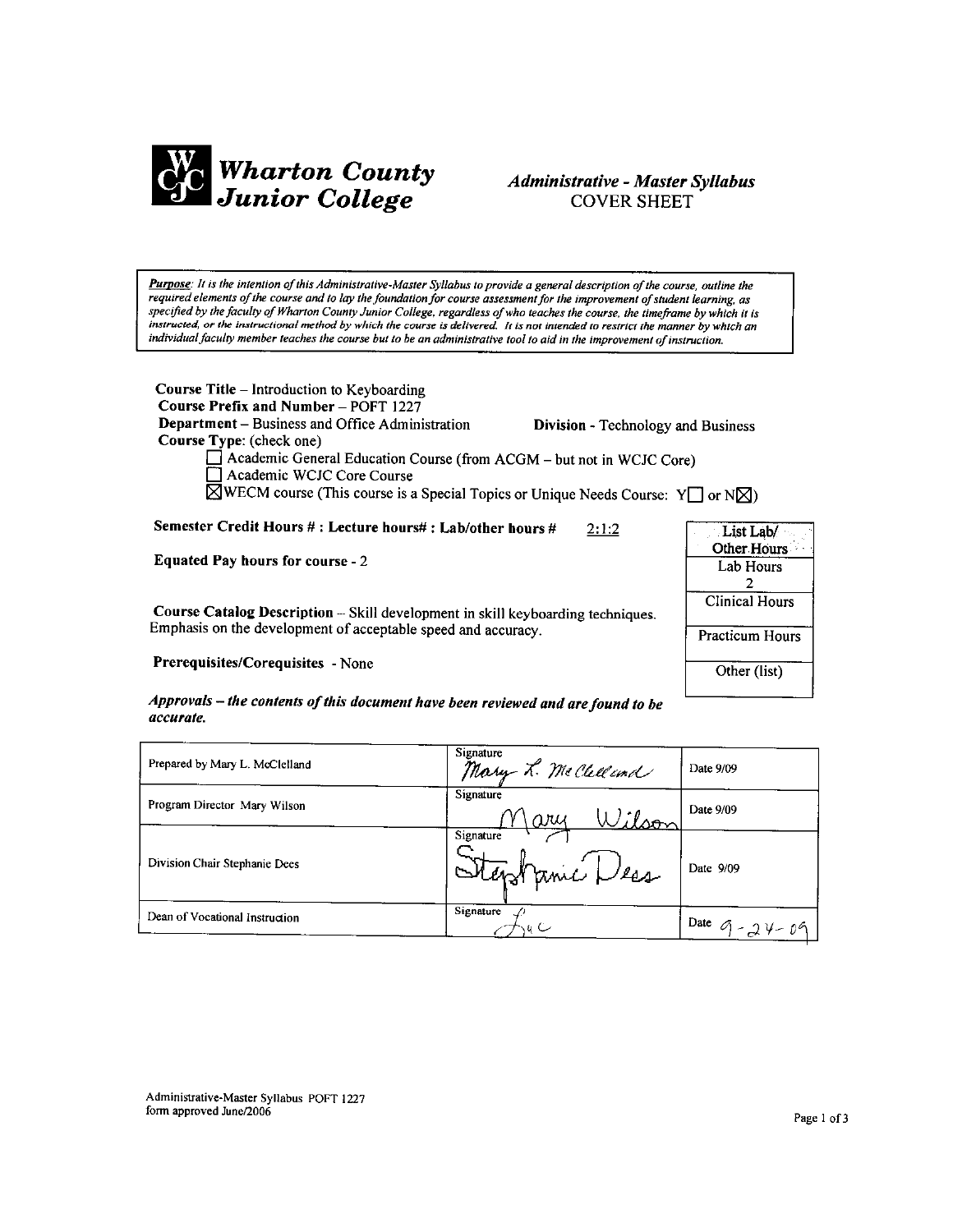

# Administrative - Master Syllabus **COVER SHEET**

Purpose: It is the intention of this Administrative-Master Syllabus to provide a general description of the course, outline the required elements of the course and to lay the foundation for course assessment for the improvement of student learning, as specified by the faculty of Wharton County Junior College, regardless of who teaches the course, the timeframe by which it is instructed, or the instructional method by which the course is delivered. It is not intended to restrict the manner by which an individual faculty member teaches the course but to be an administrative tool to aid in the improvement of instruction.

**Course Title – Introduction to Keyboarding** Course Prefix and Number - POFT 1227 **Department** – Business and Office Administration Course Type: (check one)

**Division - Technology and Business** 

List Lab/ Other Hours

Lab Hours  $\overline{2}$ **Clinical Hours** 

Practicum Hours

Other (list)

Academic General Education Course (from ACGM - but not in WCJC Core) Academic WCJC Core Course

 $\boxtimes$ WECM course (This course is a Special Topics or Unique Needs Course: Y  $\Box$  or N $\boxtimes$ )

Semester Credit Hours #: Lecture hours#: Lab/other hours #  $2:1:2$ 

**Equated Pay hours for course - 2** 

Course Catalog Description -- Skill development in skill keyboarding techniques. Emphasis on the development of acceptable speed and accuracy.

Prerequisites/Corequisites - None

Approvals - the contents of this document have been reviewed and are found to be accurate.

| Prepared by Mary L. McClelland | Signature<br>Mary L. McClelland   | Date 9/09          |
|--------------------------------|-----------------------------------|--------------------|
| Program Director Mary Wilson   | Signature<br>Wilson<br>$\omega$ ш | Date 9/09          |
| Division Chair Stephanie Dees  | Signature<br>Stephanic Les        | Date 9/09          |
| Dean of Vocational Instruction | Signature                         | Date $9 - 24 - 09$ |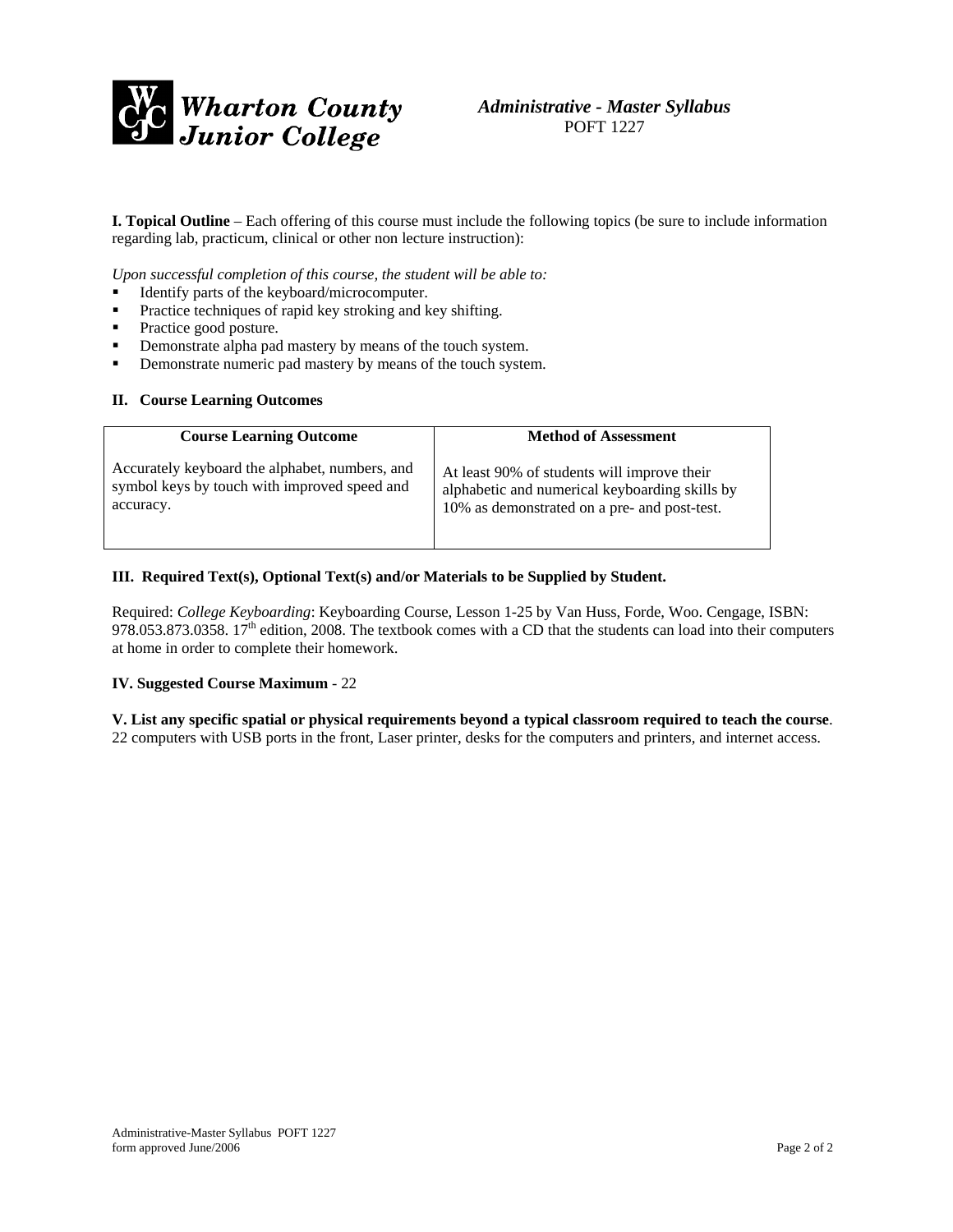

**I. Topical Outline** – Each offering of this course must include the following topics (be sure to include information regarding lab, practicum, clinical or other non lecture instruction):

*Upon successful completion of this course, the student will be able to:* 

- Identify parts of the keyboard/microcomputer.
- **Practice techniques of rapid key stroking and key shifting.**
- Practice good posture.
- **•** Demonstrate alpha pad mastery by means of the touch system.
- **•** Demonstrate numeric pad mastery by means of the touch system.

#### **II. Course Learning Outcomes**

| <b>Course Learning Outcome</b>                 | <b>Method of Assessment</b>                    |
|------------------------------------------------|------------------------------------------------|
| Accurately keyboard the alphabet, numbers, and | At least 90% of students will improve their    |
| symbol keys by touch with improved speed and   | alphabetic and numerical keyboarding skills by |
| accuracy.                                      | 10% as demonstrated on a pre- and post-test.   |

#### **III. Required Text(s), Optional Text(s) and/or Materials to be Supplied by Student.**

Required: *College Keyboarding*: Keyboarding Course, Lesson 1-25 by Van Huss, Forde, Woo. Cengage, ISBN: 978.053.873.0358. 17<sup>th</sup> edition, 2008. The textbook comes with a CD that the students can load into their computers at home in order to complete their homework.

## **IV. Suggested Course Maximum** - 22

**V. List any specific spatial or physical requirements beyond a typical classroom required to teach the course**. 22 computers with USB ports in the front, Laser printer, desks for the computers and printers, and internet access.